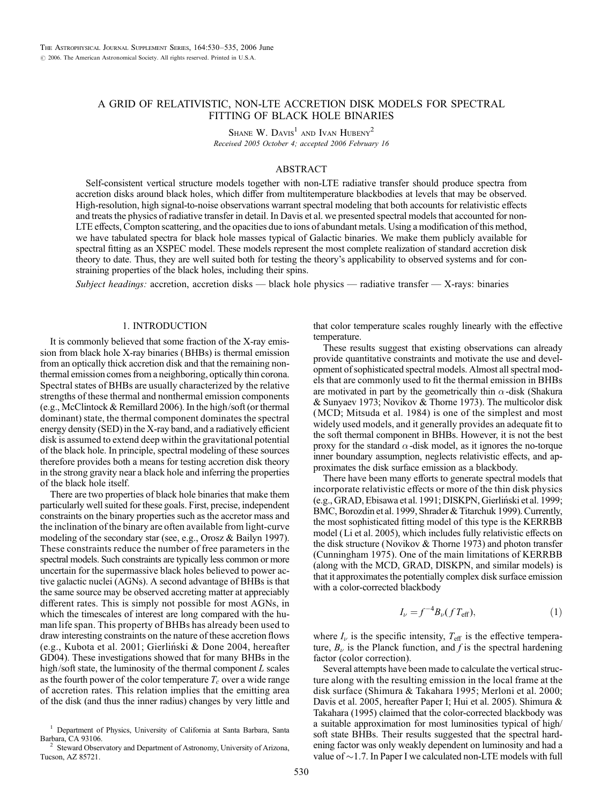# A GRID OF RELATIVISTIC, NON-LTE ACCRETION DISK MODELS FOR SPECTRAL FITTING OF BLACK HOLE BINARIES

SHANE W. DAVIS<sup>1</sup> AND IVAN HUBENY<sup>2</sup> Received 2005 October 4; accepted 2006 February 16

# ABSTRACT

Self-consistent vertical structure models together with non-LTE radiative transfer should produce spectra from accretion disks around black holes, which differ from multitemperature blackbodies at levels that may be observed. High-resolution, high signal-to-noise observations warrant spectral modeling that both accounts for relativistic effects and treats the physics of radiative transfer in detail. In Davis et al. we presented spectral models that accounted for non-LTE effects, Compton scattering, and the opacities due to ions of abundant metals. Using a modification of this method, we have tabulated spectra for black hole masses typical of Galactic binaries. We make them publicly available for spectral fitting as an XSPEC model. These models represent the most complete realization of standard accretion disk theory to date. Thus, they are well suited both for testing the theory's applicability to observed systems and for constraining properties of the black holes, including their spins.

Subject headings: accretion, accretion disks — black hole physics — radiative transfer — X-rays: binaries

### 1. INTRODUCTION

It is commonly believed that some fraction of the X-ray emission from black hole X-ray binaries (BHBs) is thermal emission from an optically thick accretion disk and that the remaining nonthermal emission comes from a neighboring, optically thin corona. Spectral states of BHBs are usually characterized by the relative strengths of these thermal and nonthermal emission components (e.g., McClintock & Remillard 2006). In the high/soft (or thermal dominant) state, the thermal component dominates the spectral energy density (SED) in the X-ray band, and a radiatively efficient disk is assumed to extend deep within the gravitational potential of the black hole. In principle, spectral modeling of these sources therefore provides both a means for testing accretion disk theory in the strong gravity near a black hole and inferring the properties of the black hole itself.

There are two properties of black hole binaries that make them particularly well suited for these goals. First, precise, independent constraints on the binary properties such as the accretor mass and the inclination of the binary are often available from light-curve modeling of the secondary star (see, e.g., Orosz & Bailyn 1997). These constraints reduce the number of free parameters in the spectral models. Such constraints are typically less common or more uncertain for the supermassive black holes believed to power active galactic nuclei (AGNs). A second advantage of BHBs is that the same source may be observed accreting matter at appreciably different rates. This is simply not possible for most AGNs, in which the timescales of interest are long compared with the human life span. This property of BHBs has already been used to draw interesting constraints on the nature of these accretion flows (e.g., Kubota et al. 2001; Gierlin´ski & Done 2004, hereafter GD04). These investigations showed that for many BHBs in the high/soft state, the luminosity of the thermal component  $L$  scales as the fourth power of the color temperature  $T_c$  over a wide range of accretion rates. This relation implies that the emitting area of the disk (and thus the inner radius) changes by very little and

that color temperature scales roughly linearly with the effective temperature.

These results suggest that existing observations can already provide quantitative constraints and motivate the use and development of sophisticated spectral models. Almost all spectral models that are commonly used to fit the thermal emission in BHBs are motivated in part by the geometrically thin  $\alpha$ -disk (Shakura & Sunyaev 1973; Novikov & Thorne 1973). The multicolor disk (MCD; Mitsuda et al. 1984) is one of the simplest and most widely used models, and it generally provides an adequate fit to the soft thermal component in BHBs. However, it is not the best proxy for the standard  $\alpha$ -disk model, as it ignores the no-torque inner boundary assumption, neglects relativistic effects, and approximates the disk surface emission as a blackbody.

There have been many efforts to generate spectral models that incorporate relativistic effects or more of the thin disk physics (e.g., GRAD, Ebisawa et al. 1991; DISKPN, Gierliński et al. 1999; BMC, Borozdin et al. 1999, Shrader & Titarchuk 1999). Currently, the most sophisticated fitting model of this type is the KERRBB model (Li et al. 2005), which includes fully relativistic effects on the disk structure (Novikov & Thorne 1973) and photon transfer (Cunningham 1975). One of the main limitations of KERRBB (along with the MCD, GRAD, DISKPN, and similar models) is that it approximates the potentially complex disk surface emission with a color-corrected blackbody

$$
I_{\nu} = f^{-4} B_{\nu} (f T_{\text{eff}}), \qquad (1)
$$

where  $I_{\nu}$  is the specific intensity,  $T_{\text{eff}}$  is the effective temperature,  $B_{\nu}$  is the Planck function, and f is the spectral hardening factor (color correction).

Several attempts have been made to calculate the vertical structure along with the resulting emission in the local frame at the disk surface (Shimura & Takahara 1995; Merloni et al. 2000; Davis et al. 2005, hereafter Paper I; Hui et al. 2005). Shimura & Takahara (1995) claimed that the color-corrected blackbody was a suitable approximation for most luminosities typical of high/ soft state BHBs. Their results suggested that the spectral hardening factor was only weakly dependent on luminosity and had a value of  $\sim$  1.7. In Paper I we calculated non-LTE models with full

<sup>1</sup> Department of Physics, University of California at Santa Barbara, Santa

Steward Observatory and Department of Astronomy, University of Arizona, Tucson, AZ 85721.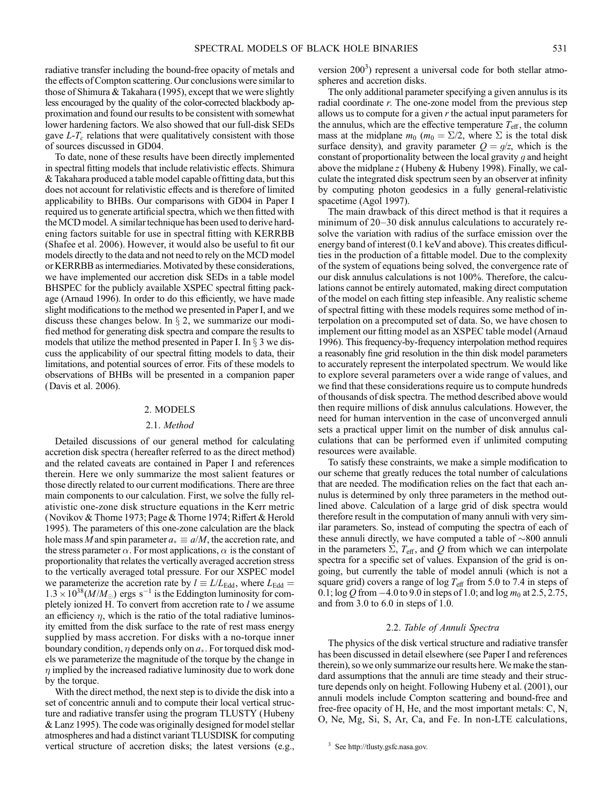radiative transfer including the bound-free opacity of metals and the effects of Compton scattering. Our conclusions were similar to those of Shimura & Takahara (1995), except that we were slightly less encouraged by the quality of the color-corrected blackbody approximation and found our results to be consistent with somewhat lower hardening factors. We also showed that our full-disk SEDs gave  $L-T_c$  relations that were qualitatively consistent with those of sources discussed in GD04.

To date, none of these results have been directly implemented in spectral fitting models that include relativistic effects. Shimura & Takahara produced a table model capable offitting data, but this does not account for relativistic effects and is therefore of limited applicability to BHBs. Our comparisons with GD04 in Paper I required us to generate artificial spectra, which we then fitted with the MCD model. A similar technique has been used to derive hardening factors suitable for use in spectral fitting with KERRBB (Shafee et al. 2006). However, it would also be useful to fit our models directly to the data and not need to rely on the MCD model or KERRBB as intermediaries. Motivated by these considerations, we have implemented our accretion disk SEDs in a table model BHSPEC for the publicly available XSPEC spectral fitting package (Arnaud 1996). In order to do this efficiently, we have made slight modifications to the method we presented in Paper I, and we discuss these changes below. In  $\S 2$ , we summarize our modified method for generating disk spectra and compare the results to models that utilize the method presented in Paper I. In  $\S$  3 we discuss the applicability of our spectral fitting models to data, their limitations, and potential sources of error. Fits of these models to observations of BHBs will be presented in a companion paper (Davis et al. 2006).

#### 2. MODELS

### 2.1. Method

Detailed discussions of our general method for calculating accretion disk spectra (hereafter referred to as the direct method) and the related caveats are contained in Paper I and references therein. Here we only summarize the most salient features or those directly related to our current modifications. There are three main components to our calculation. First, we solve the fully relativistic one-zone disk structure equations in the Kerr metric (Novikov & Thorne 1973; Page & Thorne 1974; Riffert & Herold 1995). The parameters of this one-zone calculation are the black hole mass M and spin parameter  $a_* \equiv a/M$ , the accretion rate, and the stress parameter  $\alpha$ . For most applications,  $\alpha$  is the constant of proportionality that relates the vertically averaged accretion stress to the vertically averaged total pressure. For our XSPEC model we parameterize the accretion rate by  $l \equiv L/L_{\rm Edd}$ , where  $L_{\rm Edd} =$  $1.3 \times 10^{38} (M/M_{\odot})$  ergs s<sup>-1</sup> is the Eddington luminosity for completely ionized H. To convert from accretion rate to  $l$  we assume an efficiency  $\eta$ , which is the ratio of the total radiative luminosity emitted from the disk surface to the rate of rest mass energy supplied by mass accretion. For disks with a no-torque inner boundary condition,  $\eta$  depends only on  $a_{*}$ . For torqued disk models we parameterize the magnitude of the torque by the change in  $\eta$  implied by the increased radiative luminosity due to work done by the torque.

With the direct method, the next step is to divide the disk into a set of concentric annuli and to compute their local vertical structure and radiative transfer using the program TLUSTY (Hubeny & Lanz 1995). The code was originally designed for model stellar atmospheres and had a distinct variant TLUSDISK for computing vertical structure of accretion disks; the latest versions (e.g.,

version  $200<sup>3</sup>$ ) represent a universal code for both stellar atmospheres and accretion disks.

The only additional parameter specifying a given annulus is its radial coordinate  $r$ . The one-zone model from the previous step allows us to compute for a given  $r$  the actual input parameters for the annulus, which are the effective temperature  $T_{\text{eff}}$ , the column mass at the midplane  $m_0$  ( $m_0 = \Sigma/2$ , where  $\Sigma$  is the total disk surface density), and gravity parameter  $Q = g/z$ , which is the constant of proportionality between the local gravity q and height above the midplane  $z$  (Hubeny & Hubeny 1998). Finally, we calculate the integrated disk spectrum seen by an observer at infinity by computing photon geodesics in a fully general-relativistic spacetime (Agol 1997).

The main drawback of this direct method is that it requires a minimum of 20–30 disk annulus calculations to accurately resolve the variation with radius of the surface emission over the energy band of interest (0.1 keVand above). This creates difficulties in the production of a fittable model. Due to the complexity of the system of equations being solved, the convergence rate of our disk annulus calculations is not 100%. Therefore, the calculations cannot be entirely automated, making direct computation of the model on each fitting step infeasible. Any realistic scheme of spectral fitting with these models requires some method of interpolation on a precomputed set of data. So, we have chosen to implement our fitting model as an XSPEC table model (Arnaud 1996). This frequency-by-frequency interpolation method requires a reasonably fine grid resolution in the thin disk model parameters to accurately represent the interpolated spectrum. We would like to explore several parameters over a wide range of values, and we find that these considerations require us to compute hundreds of thousands of disk spectra. The method described above would then require millions of disk annulus calculations. However, the need for human intervention in the case of unconverged annuli sets a practical upper limit on the number of disk annulus calculations that can be performed even if unlimited computing resources were available.

To satisfy these constraints, we make a simple modification to our scheme that greatly reduces the total number of calculations that are needed. The modification relies on the fact that each annulus is determined by only three parameters in the method outlined above. Calculation of a large grid of disk spectra would therefore result in the computation of many annuli with very similar parameters. So, instead of computing the spectra of each of these annuli directly, we have computed a table of  $\sim$ 800 annuli in the parameters  $\Sigma$ ,  $T_{\text{eff}}$ , and Q from which we can interpolate spectra for a specific set of values. Expansion of the grid is ongoing, but currently the table of model annuli (which is not a square grid) covers a range of  $\log T_{\text{eff}}$  from 5.0 to 7.4 in steps of 0.1; log Q from  $-4.0$  to 9.0 in steps of 1.0; and log  $m_0$  at 2.5, 2.75, and from 3.0 to 6.0 in steps of 1.0.

#### 2.2. Table of Annuli Spectra

The physics of the disk vertical structure and radiative transfer has been discussed in detail elsewhere (see Paper I and references therein), so we only summarize our results here. We make the standard assumptions that the annuli are time steady and their structure depends only on height. Following Hubeny et al. (2001), our annuli models include Compton scattering and bound-free and free-free opacity of H, He, and the most important metals: C, N, O, Ne, Mg, Si, S, Ar, Ca, and Fe. In non-LTE calculations,

<sup>3</sup> See http://tlusty.gsfc.nasa.gov.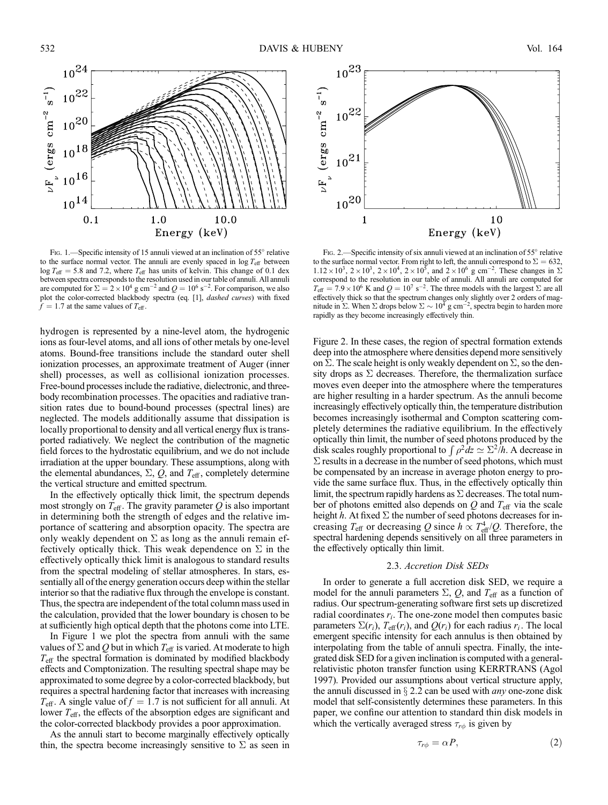

FIG. 1.—Specific intensity of 15 annuli viewed at an inclination of 55° relative to the surface normal vector. The annuli are evenly spaced in  $\log T_{\text{eff}}$  between  $\log T_{\text{eff}} = 5.8$  and 7.2, where  $T_{\text{eff}}$  has units of kelvin. This change of 0.1 dex between spectra corresponds to the resolution used in our table of annuli. All annuli are computed for  $\Sigma = 2 \times 10^4$  g cm<sup>-2</sup> and  $Q = 10^6$  s<sup>-2</sup>. For comparison, we also plot the color-corrected blackbody spectra (eq. [1], *dashed curves*) with fixed  $\hat{f} = 1.7$  at the same values of  $T_{\text{eff}}$ .

hydrogen is represented by a nine-level atom, the hydrogenic ions as four-level atoms, and all ions of other metals by one-level atoms. Bound-free transitions include the standard outer shell ionization processes, an approximate treatment of Auger (inner shell) processes, as well as collisional ionization processes. Free-bound processes include the radiative, dielectronic, and threebody recombination processes. The opacities and radiative transition rates due to bound-bound processes (spectral lines) are neglected. The models additionally assume that dissipation is locally proportional to density and all vertical energy flux is transported radiatively. We neglect the contribution of the magnetic field forces to the hydrostatic equilibrium, and we do not include irradiation at the upper boundary. These assumptions, along with the elemental abundances,  $\Sigma$ ,  $Q$ , and  $T_{\text{eff}}$ , completely determine the vertical structure and emitted spectrum.

In the effectively optically thick limit, the spectrum depends most strongly on  $T_{\text{eff}}$ . The gravity parameter Q is also important in determining both the strength of edges and the relative importance of scattering and absorption opacity. The spectra are only weakly dependent on  $\Sigma$  as long as the annuli remain effectively optically thick. This weak dependence on  $\Sigma$  in the effectively optically thick limit is analogous to standard results from the spectral modeling of stellar atmospheres. In stars, essentially all of the energy generation occurs deep within the stellar interior so that the radiative flux through the envelope is constant. Thus, the spectra are independent of the total column mass used in the calculation, provided that the lower boundary is chosen to be at sufficiently high optical depth that the photons come into LTE.

In Figure 1 we plot the spectra from annuli with the same values of  $\Sigma$  and Q but in which  $T_{\text{eff}}$  is varied. At moderate to high  $T_{\text{eff}}$  the spectral formation is dominated by modified blackbody effects and Comptonization. The resulting spectral shape may be approximated to some degree by a color-corrected blackbody, but requires a spectral hardening factor that increases with increasing  $T_{\text{eff}}$ . A single value of  $f = 1.7$  is not sufficient for all annuli. At lower  $T_{\text{eff}}$ , the effects of the absorption edges are significant and the color-corrected blackbody provides a poor approximation.

As the annuli start to become marginally effectively optically thin, the spectra become increasingly sensitive to  $\Sigma$  as seen in



FIG. 2.—Specific intensity of six annuli viewed at an inclination of 55° relative to the surface normal vector. From right to left, the annuli correspond to  $\Sigma = 632$ ,  $1.12 \times 10^3$ ,  $2 \times 10^3$ ,  $2 \times 10^4$ ,  $2 \times 10^5$ , and  $2 \times 10^6$  g cm<sup>-2</sup>. These changes in  $\Sigma$ correspond to the resolution in our table of annuli. All annuli are computed for  $T_{\text{eff}} = 7.9 \times 10^6$  K and  $Q = 10^7$  s<sup>-2</sup>. The three models with the largest  $\Sigma$  are all effectively thick so that the spectrum changes only slightly over 2 orders of magnitude in  $\Sigma$ . When  $\Sigma$  drops below  $\Sigma \sim 10^4$  g cm<sup>-2</sup>, spectra begin to harden more rapidly as they become increasingly effectively thin.

Figure 2. In these cases, the region of spectral formation extends deep into the atmosphere where densities depend more sensitively on  $\Sigma$ . The scale height is only weakly dependent on  $\Sigma$ , so the density drops as  $\Sigma$  decreases. Therefore, the thermalization surface moves even deeper into the atmosphere where the temperatures are higher resulting in a harder spectrum. As the annuli become increasingly effectively optically thin, the temperature distribution becomes increasingly isothermal and Compton scattering completely determines the radiative equilibrium. In the effectively optically thin limit, the number of seed photons produced by the ophealty that then, the number of seed photons produced by the disk scales roughly proportional to  $\int \rho^2 dz \simeq \Sigma^2/h$ . A decrease in  $\Sigma$  results in a decrease in the number of seed photons, which must be compensated by an increase in average photon energy to provide the same surface flux. Thus, in the effectively optically thin limit, the spectrum rapidly hardens as  $\Sigma$  decreases. The total number of photons emitted also depends on  $Q$  and  $T_{\text{eff}}$  via the scale height h. At fixed  $\Sigma$  the number of seed photons decreases for increasing  $T_{\text{eff}}$  or decreasing Q since  $h \propto T_{\text{eff}}^4/Q$ . Therefore, the spectral hardening depends sensitively on all three parameters in the effectively optically thin limit.

### 2.3. Accretion Disk SEDs

In order to generate a full accretion disk SED, we require a model for the annuli parameters  $\Sigma$ , Q, and  $T_{\text{eff}}$  as a function of radius. Our spectrum-generating software first sets up discretized radial coordinates  $r_i$ . The one-zone model then computes basic parameters  $\Sigma(r_i)$ ,  $T_{\text{eff}}(r_i)$ , and  $Q(r_i)$  for each radius  $r_i$ . The local emergent specific intensity for each annulus is then obtained by interpolating from the table of annuli spectra. Finally, the integrated disk SED for a given inclination is computed with a generalrelativistic photon transfer function using KERRTRANS (Agol 1997). Provided our assumptions about vertical structure apply, the annuli discussed in  $\S$  2.2 can be used with *any* one-zone disk model that self-consistently determines these parameters. In this paper, we confine our attention to standard thin disk models in which the vertically averaged stress  $\tau_{r\phi}$  is given by

$$
\tau_{r\phi} = \alpha P, \tag{2}
$$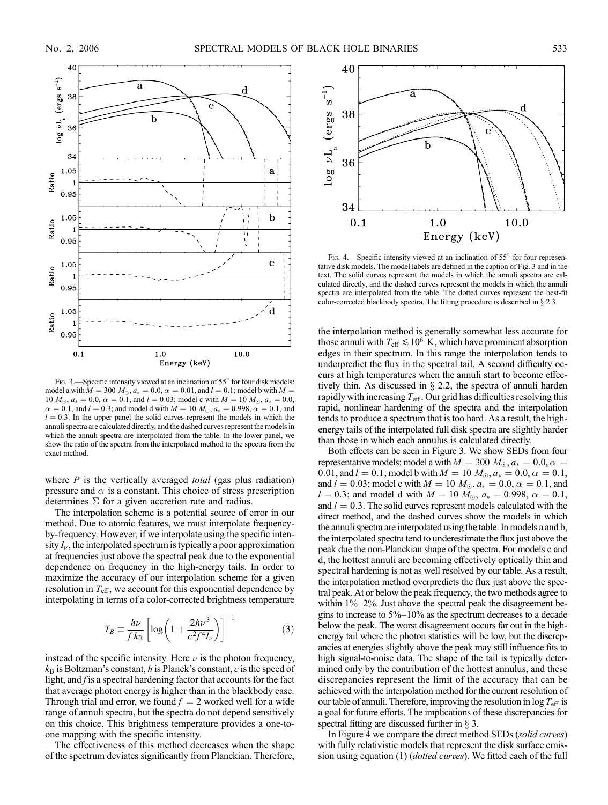

FIG. 3.—Specific intensity viewed at an inclination of 55° for four disk models: model a with  $M = 300 M_{\odot}$ ,  $a_* = 0.0$ ,  $\alpha = 0.01$ , and  $l = 0.1$ ; model b with  $M =$ 10  $M_{\odot}$ ,  $a_* = 0.0$ ,  $\alpha = 0.1$ , and  $l = 0.03$ ; model c with  $M = 10$   $M_{\odot}$ ,  $a_* = 0.0$ ,  $\alpha = 0.1$ , and  $l = 0.3$ ; and model d with  $M = 10 M_{\odot}$ ,  $a_* = 0.998$ ,  $\alpha = 0.1$ , and  $l = 0.3$ . In the upper panel the solid curves represent the models in which the annuli spectra are calculated directly, and the dashed curves represent the models in which the annuli spectra are interpolated from the table. In the lower panel, we show the ratio of the spectra from the interpolated method to the spectra from the exact method.

where  $P$  is the vertically averaged *total* (gas plus radiation) pressure and  $\alpha$  is a constant. This choice of stress prescription determines  $\Sigma$  for a given accretion rate and radius.

The interpolation scheme is a potential source of error in our method. Due to atomic features, we must interpolate frequencyby-frequency. However, if we interpolate using the specific intensity  $I_{\nu}$ , the interpolated spectrum is typically a poor approximation at frequencies just above the spectral peak due to the exponential dependence on frequency in the high-energy tails. In order to maximize the accuracy of our interpolation scheme for a given resolution in  $T_{\text{eff}}$ , we account for this exponential dependence by interpolating in terms of a color-corrected brightness temperature

$$
T_B \equiv \frac{h\nu}{f k_B} \left[ \log \left( 1 + \frac{2h\nu^3}{c^2 f^4 I_\nu} \right) \right]^{-1} \tag{3}
$$

instead of the specific intensity. Here  $\nu$  is the photon frequency,  $k_B$  is Boltzman's constant, h is Planck's constant, c is the speed of light, and  $f$  is a spectral hardening factor that accounts for the fact that average photon energy is higher than in the blackbody case. Through trial and error, we found  $f = 2$  worked well for a wide range of annuli spectra, but the spectra do not depend sensitively on this choice. This brightness temperature provides a one-toone mapping with the specific intensity.

The effectiveness of this method decreases when the shape of the spectrum deviates significantly from Planckian. Therefore,



Fig. 4.—Specific intensity viewed at an inclination of  $55^{\circ}$  for four representative disk models. The model labels are defined in the caption of Fig. 3 and in the text. The solid curves represent the models in which the annuli spectra are calculated directly, and the dashed curves represent the models in which the annuli spectra are interpolated from the table. The dotted curves represent the best-fit color-corrected blackbody spectra. The fitting procedure is described in  $\S 2.3$ .

the interpolation method is generally somewhat less accurate for those annuli with  $T_{\text{eff}} \lesssim 10^6 \text{ K}$ , which have prominent absorption edges in their spectrum. In this range the interpolation tends to underpredict the flux in the spectral tail. A second difficulty occurs at high temperatures when the annuli start to become effectively thin. As discussed in  $\S$  2.2, the spectra of annuli harden rapidly with increasing  $T_{\text{eff}}$ . Our grid has difficulties resolving this rapid, nonlinear hardening of the spectra and the interpolation tends to produce a spectrum that is too hard. As a result, the highenergy tails of the interpolated full disk spectra are slightly harder than those in which each annulus is calculated directly.

Both effects can be seen in Figure 3. We show SEDs from four representative models: model a with  $M = 300 M_{\odot}$ ,  $a_* = 0.0$ ,  $\alpha =$ 0.01, and  $l = 0.1$ ; model b with  $M = 10$   $M_{\odot}$ ,  $a_* = 0.0$ ,  $\alpha = 0.1$ , and  $l = 0.03$ ; model c with  $M = 10 M_{\odot}$ ,  $a_* = 0.0$ ,  $\alpha = 0.1$ , and  $l = 0.3$ ; and model d with  $M = 10 M_{\odot}$ ,  $a_* = 0.998$ ,  $\alpha = 0.1$ , and  $l = 0.3$ . The solid curves represent models calculated with the direct method, and the dashed curves show the models in which the annuli spectra are interpolated using the table. In models a and b, the interpolated spectra tend to underestimate the flux just above the peak due the non-Planckian shape of the spectra. For models c and d, the hottest annuli are becoming effectively optically thin and spectral hardening is not as well resolved by our table. As a result, the interpolation method overpredicts the flux just above the spectral peak. At or below the peak frequency, the two methods agree to within 1%–2%. Just above the spectral peak the disagreement begins to increase to 5%–10% as the spectrum decreases to a decade below the peak. The worst disagreement occurs far out in the highenergy tail where the photon statistics will be low, but the discrepancies at energies slightly above the peak may still influence fits to high signal-to-noise data. The shape of the tail is typically determined only by the contribution of the hottest annulus, and these discrepancies represent the limit of the accuracy that can be achieved with the interpolation method for the current resolution of our table of annuli. Therefore, improving the resolution in  $\log T_{\text{eff}}$  is a goal for future efforts. The implications of these discrepancies for spectral fitting are discussed further in  $\S$  3.

In Figure 4 we compare the direct method SEDs (solid curves) with fully relativistic models that represent the disk surface emission using equation (1) (dotted curves). We fitted each of the full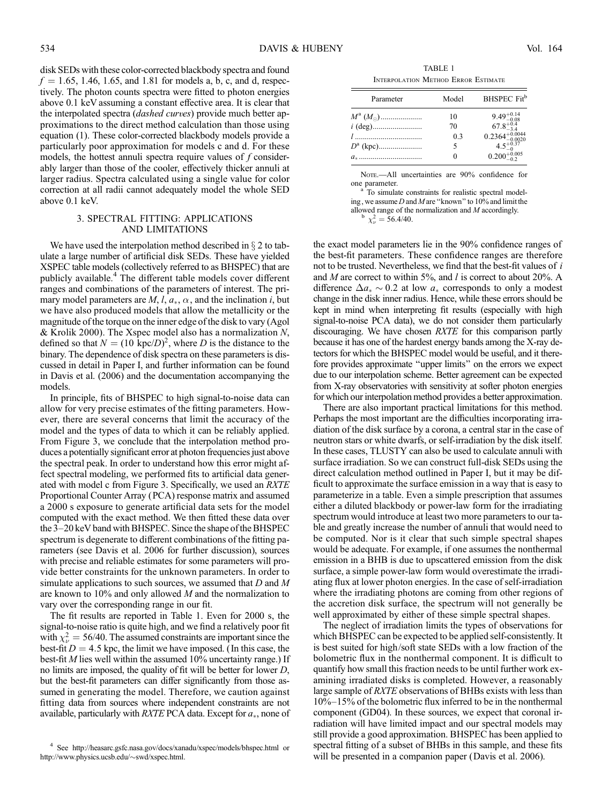disk SEDs with these color-corrected blackbody spectra and found  $f = 1.65, 1.46, 1.65,$  and 1.81 for models a, b, c, and d, respectively. The photon counts spectra were fitted to photon energies above 0.1 keV assuming a constant effective area. It is clear that the interpolated spectra (*dashed curves*) provide much better approximations to the direct method calculation than those using equation (1). These color-corrected blackbody models provide a particularly poor approximation for models c and d. For these models, the hottest annuli spectra require values of  $f$  considerably larger than those of the cooler, effectively thicker annuli at larger radius. Spectra calculated using a single value for color correction at all radii cannot adequately model the whole SED above 0.1 keV.

# 3. SPECTRAL FITTING: APPLICATIONS AND LIMITATIONS

We have used the interpolation method described in  $\S 2$  to tabulate a large number of artificial disk SEDs. These have yielded XSPEC table models (collectively referred to as BHSPEC) that are publicly available.<sup>4</sup> The different table models cover different ranges and combinations of the parameters of interest. The primary model parameters are M, l,  $a<sub>*</sub>$ ,  $\alpha$ , and the inclination i, but we have also produced models that allow the metallicity or the magnitude of the torque on the inner edge of the disk to vary (Agol & Krolik 2000). The Xspec model also has a normalization  $N$ , defined so that  $N = (10 \text{ kpc}/D)^2$ , where D is the distance to the binary. The dependence of disk spectra on these parameters is discussed in detail in Paper I, and further information can be found in Davis et al. (2006) and the documentation accompanying the models.

In principle, fits of BHSPEC to high signal-to-noise data can allow for very precise estimates of the fitting parameters. However, there are several concerns that limit the accuracy of the model and the types of data to which it can be reliably applied. From Figure 3, we conclude that the interpolation method produces a potentially significant error at photon frequencies just above the spectral peak. In order to understand how this error might affect spectral modeling, we performed fits to artificial data generated with model c from Figure 3. Specifically, we used an RXTE Proportional Counter Array (PCA) response matrix and assumed a 2000 s exposure to generate artificial data sets for the model computed with the exact method. We then fitted these data over the 3–20 keV band with BHSPEC. Since the shape of the BHSPEC spectrum is degenerate to different combinations of the fitting parameters (see Davis et al. 2006 for further discussion), sources with precise and reliable estimates for some parameters will provide better constraints for the unknown parameters. In order to simulate applications to such sources, we assumed that  $D$  and  $M$ are known to 10% and only allowed M and the normalization to vary over the corresponding range in our fit.

The fit results are reported in Table 1. Even for 2000 s, the signal-to-noise ratio is quite high, and we find a relatively poor fit with  $\chi^2_{\nu} = 56/40$ . The assumed constraints are important since the best-fit  $D = 4.5$  kpc, the limit we have imposed. (In this case, the best-fit M lies well within the assumed 10% uncertainty range.) If no limits are imposed, the quality of fit will be better for lower D, but the best-fit parameters can differ significantly from those assumed in generating the model. Therefore, we caution against fitting data from sources where independent constraints are not available, particularly with  $RXTE$  PCA data. Except for  $a<sub>*</sub>$ , none of

TABLE 1 Interpolation Method Error Estimate

| Parameter                 | Model | BHSPEC Fit <sup>b</sup>                                                                                                                              |
|---------------------------|-------|------------------------------------------------------------------------------------------------------------------------------------------------------|
| $M^{\rm a}$ $(M_{\odot})$ | 10    | $\begin{array}{r} 9.49_{-0.08}^{+0.14}\\ 67.8_{-3.4}^{+0.4}\\ 0.2364_{-0.0020}^{+0.0044}\\ 4.5_{-0.020}^{+0.037}\\ 0.200_{-0.2}^{+0.05} \end{array}$ |
|                           | 70    |                                                                                                                                                      |
| 1                         | 0.3   |                                                                                                                                                      |
|                           | 5     |                                                                                                                                                      |
|                           |       |                                                                                                                                                      |

Nore.—All uncertainties are 90% confidence for one parameter.

To simulate constraints for realistic spectral modeling, we assume D and M are ''known'' to 10% and limit the allowed range of the normalization and  $M$  accordingly.  $\frac{2}{v} = 56.4/40.$ 

the exact model parameters lie in the 90% confidence ranges of the best-fit parameters. These confidence ranges are therefore not to be trusted. Nevertheless, we find that the best-fit values of i and  $M$  are correct to within 5%, and  $l$  is correct to about 20%. A difference  $\Delta a_* \sim 0.2$  at low  $a_*$  corresponds to only a modest change in the disk inner radius. Hence, while these errors should be kept in mind when interpreting fit results (especially with high signal-to-noise PCA data), we do not consider them particularly discouraging. We have chosen RXTE for this comparison partly because it has one of the hardest energy bands among the X-ray detectors for which the BHSPEC model would be useful, and it therefore provides approximate ''upper limits'' on the errors we expect due to our interpolation scheme. Better agreement can be expected from X-ray observatories with sensitivity at softer photon energies for which our interpolation method provides a better approximation.

There are also important practical limitations for this method. Perhaps the most important are the difficulties incorporating irradiation of the disk surface by a corona, a central star in the case of neutron stars or white dwarfs, or self-irradiation by the disk itself. In these cases, TLUSTY can also be used to calculate annuli with surface irradiation. So we can construct full-disk SEDs using the direct calculation method outlined in Paper I, but it may be difficult to approximate the surface emission in a way that is easy to parameterize in a table. Even a simple prescription that assumes either a diluted blackbody or power-law form for the irradiating spectrum would introduce at least two more parameters to our table and greatly increase the number of annuli that would need to be computed. Nor is it clear that such simple spectral shapes would be adequate. For example, if one assumes the nonthermal emission in a BHB is due to upscattered emission from the disk surface, a simple power-law form would overestimate the irradiating flux at lower photon energies. In the case of self-irradiation where the irradiating photons are coming from other regions of the accretion disk surface, the spectrum will not generally be well approximated by either of these simple spectral shapes.

The neglect of irradiation limits the types of observations for which BHSPEC can be expected to be applied self-consistently. It is best suited for high/soft state SEDs with a low fraction of the bolometric flux in the nonthermal component. It is difficult to quantify how small this fraction needs to be until further work examining irradiated disks is completed. However, a reasonably large sample of *RXTE* observations of BHBs exists with less than 10%–15% of the bolometric flux inferred to be in the nonthermal component (GD04). In these sources, we expect that coronal irradiation will have limited impact and our spectral models may still provide a good approximation. BHSPEC has been applied to spectral fitting of a subset of BHBs in this sample, and these fits will be presented in a companion paper (Davis et al. 2006).

<sup>4</sup> See http://heasarc.gsfc.nasa.gov/docs/xanadu/xspec/models/bhspec.html or http://www.physics.ucsb.edu/~swd/xspec.html.